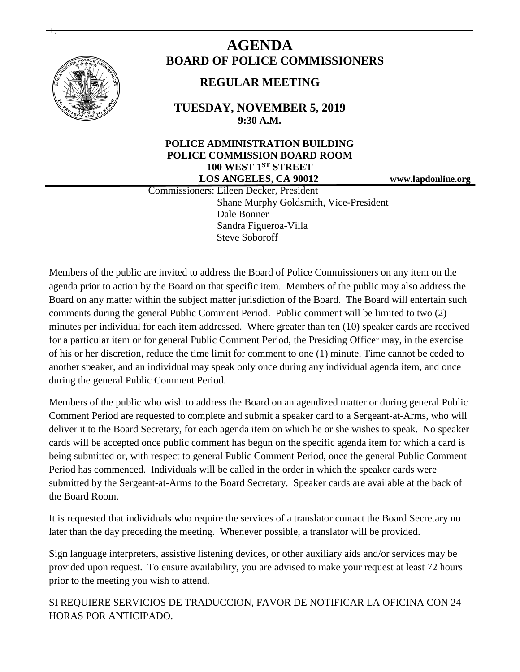

+.

# **AGENDA BOARD OF POLICE COMMISSIONERS**

# **REGULAR MEETING**

**TUESDAY, NOVEMBER 5, 2019 9:30 A.M.**

## **POLICE ADMINISTRATION BUILDING POLICE COMMISSION BOARD ROOM 100 WEST 1ST STREET LOS ANGELES, CA 90012 www.lapdonline.org**

 Commissioners: Eileen Decker, President Shane Murphy Goldsmith, Vice-President Dale Bonner Sandra Figueroa-Villa Steve Soboroff

Members of the public are invited to address the Board of Police Commissioners on any item on the agenda prior to action by the Board on that specific item. Members of the public may also address the Board on any matter within the subject matter jurisdiction of the Board. The Board will entertain such comments during the general Public Comment Period. Public comment will be limited to two (2) minutes per individual for each item addressed. Where greater than ten (10) speaker cards are received for a particular item or for general Public Comment Period, the Presiding Officer may, in the exercise of his or her discretion, reduce the time limit for comment to one (1) minute. Time cannot be ceded to another speaker, and an individual may speak only once during any individual agenda item, and once during the general Public Comment Period.

Members of the public who wish to address the Board on an agendized matter or during general Public Comment Period are requested to complete and submit a speaker card to a Sergeant-at-Arms, who will deliver it to the Board Secretary, for each agenda item on which he or she wishes to speak. No speaker cards will be accepted once public comment has begun on the specific agenda item for which a card is being submitted or, with respect to general Public Comment Period, once the general Public Comment Period has commenced. Individuals will be called in the order in which the speaker cards were submitted by the Sergeant-at-Arms to the Board Secretary. Speaker cards are available at the back of the Board Room.

It is requested that individuals who require the services of a translator contact the Board Secretary no later than the day preceding the meeting. Whenever possible, a translator will be provided.

Sign language interpreters, assistive listening devices, or other auxiliary aids and/or services may be provided upon request. To ensure availability, you are advised to make your request at least 72 hours prior to the meeting you wish to attend.

SI REQUIERE SERVICIOS DE TRADUCCION, FAVOR DE NOTIFICAR LA OFICINA CON 24 HORAS POR ANTICIPADO.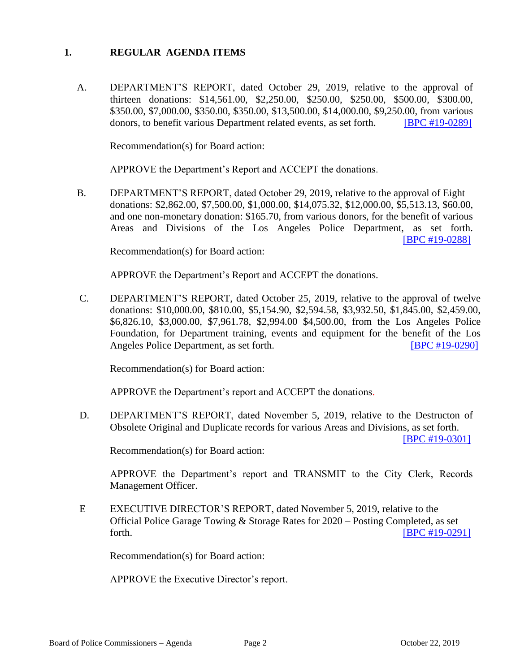#### **1. REGULAR AGENDA ITEMS**

A. DEPARTMENT'S REPORT, dated October 29, 2019, relative to the approval of thirteen donations: \$14,561.00, \$2,250.00, \$250.00, \$250.00, \$500.00, \$300.00, \$350.00, \$7,000.00, \$350.00, \$350.00, \$13,500.00, \$14,000.00, \$9,250.00, from various donors, to benefit various Department related events, as set forth. [\[BPC #19-0289\]](http://www.lapdpolicecom.lacity.org/110519/BPC_19-0289.pdf)

Recommendation(s) for Board action:

APPROVE the Department's Report and ACCEPT the donations.

B. DEPARTMENT'S REPORT, dated October 29, 2019, relative to the approval of Eight donations: \$2,862.00, \$7,500.00, \$1,000.00, \$14,075.32, \$12,000.00, \$5,513.13, \$60.00, and one non-monetary donation: \$165.70, from various donors, for the benefit of various Areas and Divisions of the Los Angeles Police Department, as set forth. [\[BPC #19-0288\]](http://www.lapdpolicecom.lacity.org/110519/BPC_19-0288.pdf)

Recommendation(s) for Board action:

APPROVE the Department's Report and ACCEPT the donations.

C. DEPARTMENT'S REPORT, dated October 25, 2019, relative to the approval of twelve donations: \$10,000.00, \$810.00, \$5,154.90, \$2,594.58, \$3,932.50, \$1,845.00, \$2,459.00, \$6,826.10, \$3,000.00, \$7,961.78, \$2,994.00 \$4,500.00, from the Los Angeles Police Foundation, for Department training, events and equipment for the benefit of the Los Angeles Police Department, as set forth. [\[BPC #19-0290\]](http://www.lapdpolicecom.lacity.org/110519/BPC_19-0290.pdf)

Recommendation(s) for Board action:

APPROVE the Department's report and ACCEPT the donations.

D. DEPARTMENT'S REPORT, dated November 5, 2019, relative to the Destructon of Obsolete Original and Duplicate records for various Areas and Divisions, as set forth.

[\[BPC #19-0301\]](http://www.lapdpolicecom.lacity.org/110519/BPC_19-0301.pdf)

Recommendation(s) for Board action:

APPROVE the Department's report and TRANSMIT to the City Clerk, Records Management Officer.

E EXECUTIVE DIRECTOR'S REPORT, dated November 5, 2019, relative to the Official Police Garage Towing & Storage Rates for 2020 – Posting Completed, as set forth. **IBPC** #19-0291]

Recommendation(s) for Board action:

APPROVE the Executive Director's report.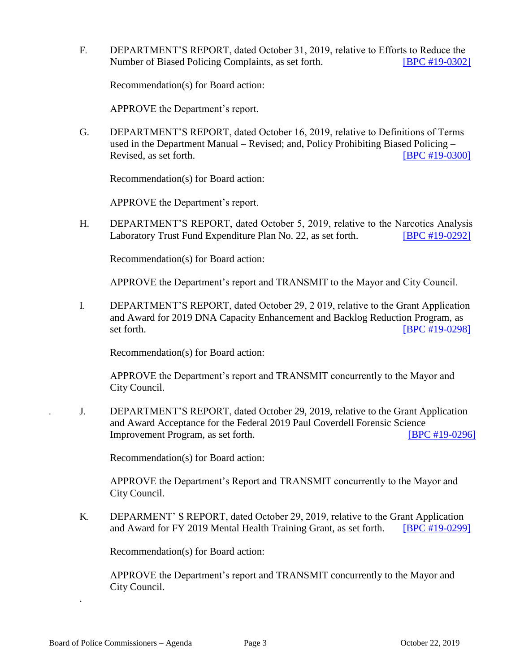F. DEPARTMENT'S REPORT, dated October 31, 2019, relative to Efforts to Reduce the Number of Biased Policing Complaints, as set forth. **[\[BPC #19-0302\]](http://www.lapdpolicecom.lacity.org/110519/BPC_19-0302..pdf)** 

Recommendation(s) for Board action:

APPROVE the Department's report.

G. DEPARTMENT'S REPORT, dated October 16, 2019, relative to Definitions of Terms used in the Department Manual – Revised; and, Policy Prohibiting Biased Policing – Revised, as set forth. **IDPC #19-0300** 

Recommendation(s) for Board action:

APPROVE the Department's report.

H. DEPARTMENT'S REPORT, dated October 5, 2019, relative to the Narcotics Analysis Laboratory Trust Fund Expenditure Plan No. 22, as set forth. [\[BPC #19-0292\]](http://www.lapdpolicecom.lacity.org/110519/BPC_19-0292.pdf)

Recommendation(s) for Board action:

APPROVE the Department's report and TRANSMIT to the Mayor and City Council.

I. DEPARTMENT'S REPORT, dated October 29, 2 019, relative to the Grant Application and Award for 2019 DNA Capacity Enhancement and Backlog Reduction Program, as set forth. **[\[BPC #19-0298\]](http://www.lapdpolicecom.lacity.org/110519/BPC_19-0298.pdf)** 

Recommendation(s) for Board action:

APPROVE the Department's report and TRANSMIT concurrently to the Mayor and City Council.

. J. DEPARTMENT'S REPORT, dated October 29, 2019, relative to the Grant Application and Award Acceptance for the Federal 2019 Paul Coverdell Forensic Science Improvement Program, as set forth. [\[BPC #19-0296\]](http://www.lapdpolicecom.lacity.org/110519/BPC_19-0296.pdf)

Recommendation(s) for Board action:

APPROVE the Department's Report and TRANSMIT concurrently to the Mayor and City Council.

K. DEPARMENT' S REPORT, dated October 29, 2019, relative to the Grant Application and Award for FY 2019 Mental Health Training Grant, as set forth. [\[BPC #19-0299\]](http://www.lapdpolicecom.lacity.org/110519/BPC_19-0299.pdf)

Recommendation(s) for Board action:

APPROVE the Department's report and TRANSMIT concurrently to the Mayor and City Council.

.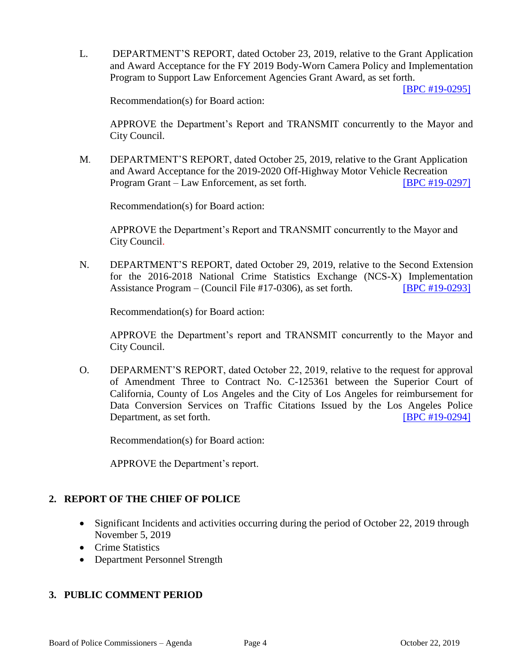L. DEPARTMENT'S REPORT, dated October 23, 2019, relative to the Grant Application and Award Acceptance for the FY 2019 Body-Worn Camera Policy and Implementation Program to Support Law Enforcement Agencies Grant Award, as set forth.

[BPC [#19-0295\]](http://www.lapdpolicecom.lacity.org/110519/BPC_19-0295.pdf)

Recommendation(s) for Board action:

APPROVE the Department's Report and TRANSMIT concurrently to the Mayor and City Council.

M. DEPARTMENT'S REPORT, dated October 25, 2019, relative to the Grant Application and Award Acceptance for the 2019-2020 Off-Highway Motor Vehicle Recreation Program Grant – Law Enforcement, as set forth. [\[BPC #19-0297\]](http://www.lapdpolicecom.lacity.org/110519/BPC_19-0297.pdf)

Recommendation(s) for Board action:

APPROVE the Department's Report and TRANSMIT concurrently to the Mayor and City Council.

N. DEPARTMENT'S REPORT, dated October 29, 2019, relative to the Second Extension for the 2016-2018 National Crime Statistics Exchange (NCS-X) Implementation Assistance Program – (Council File #17-0306), as set forth. [\[BPC #19-0293\]](http://www.lapdpolicecom.lacity.org/110519/BPC_19-0293.pdf)

Recommendation(s) for Board action:

APPROVE the Department's report and TRANSMIT concurrently to the Mayor and City Council.

O. DEPARMENT'S REPORT, dated October 22, 2019, relative to the request for approval of Amendment Three to Contract No. C-125361 between the Superior Court of California, County of Los Angeles and the City of Los Angeles for reimbursement for Data Conversion Services on Traffic Citations Issued by the Los Angeles Police Department, as set forth. **IBPC #19-0294** 

Recommendation(s) for Board action:

APPROVE the Department's report.

### **2. REPORT OF THE CHIEF OF POLICE**

- Significant Incidents and activities occurring during the period of October 22, 2019 through November 5, 2019
- Crime Statistics
- Department Personnel Strength

### **3. PUBLIC COMMENT PERIOD**